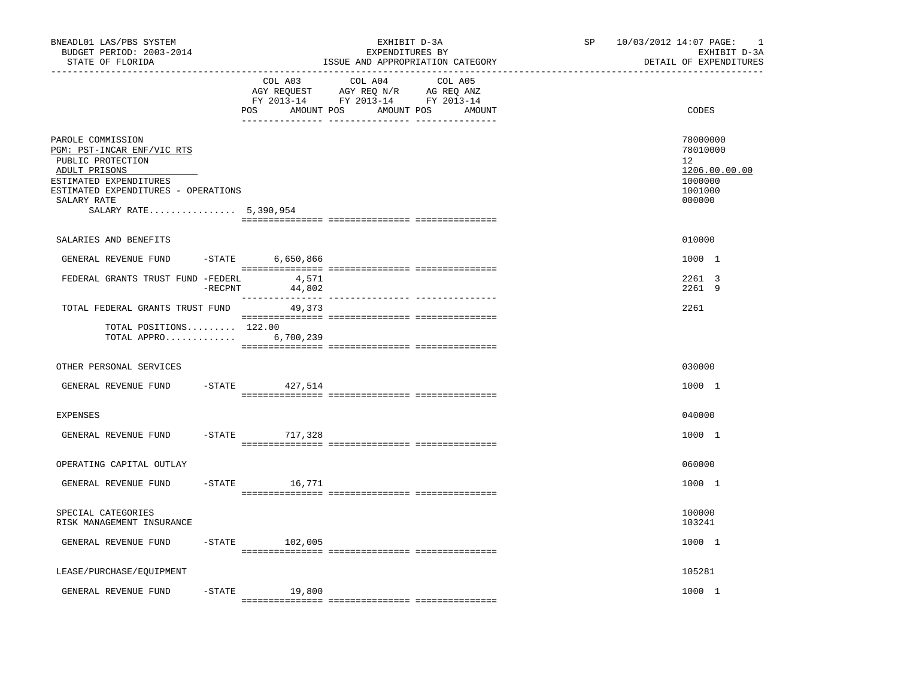| BNEADL01 LAS/PBS SYSTEM<br>BUDGET PERIOD: 2003-2014<br>STATE OF FLORIDA                                                                                                                        |            |                              | EXHIBIT D-3A<br>EXPENDITURES BY<br>ISSUE AND APPROPRIATION CATEGORY | SP | 10/03/2012 14:07 PAGE:<br><sup>1</sup><br>EXHIBIT D-3A<br>DETAIL OF EXPENDITURES      |
|------------------------------------------------------------------------------------------------------------------------------------------------------------------------------------------------|------------|------------------------------|---------------------------------------------------------------------|----|---------------------------------------------------------------------------------------|
|                                                                                                                                                                                                |            | COL A03<br>POS<br>AMOUNT POS | COL A04<br>COL A05<br>AMOUNT POS<br>AMOUNT                          |    | CODES                                                                                 |
| PAROLE COMMISSION<br>PGM: PST-INCAR ENF/VIC RTS<br>PUBLIC PROTECTION<br>ADULT PRISONS<br>ESTIMATED EXPENDITURES<br>ESTIMATED EXPENDITURES - OPERATIONS<br>SALARY RATE<br>SALARY RATE 5,390,954 |            |                              |                                                                     |    | 78000000<br>78010000<br>$12^{\circ}$<br>1206.00.00.00<br>1000000<br>1001000<br>000000 |
| SALARIES AND BENEFITS                                                                                                                                                                          |            |                              |                                                                     |    | 010000                                                                                |
| GENERAL REVENUE FUND                                                                                                                                                                           | $-STATE$   | 6,650,866                    |                                                                     |    | 1000 1                                                                                |
| FEDERAL GRANTS TRUST FUND -FEDERL                                                                                                                                                              | $-$ RECPNT | 4,571<br>44,802              |                                                                     |    | 2261 3<br>2261 9                                                                      |
| TOTAL FEDERAL GRANTS TRUST FUND                                                                                                                                                                |            | 49,373                       |                                                                     |    | 2261                                                                                  |
| TOTAL POSITIONS 122.00<br>TOTAL APPRO 6,700,239                                                                                                                                                |            |                              |                                                                     |    |                                                                                       |
| OTHER PERSONAL SERVICES                                                                                                                                                                        |            |                              |                                                                     |    | 030000                                                                                |
| GENERAL REVENUE FUND                                                                                                                                                                           | $-$ STATE  | 427,514                      |                                                                     |    | 1000 1                                                                                |
| <b>EXPENSES</b>                                                                                                                                                                                |            |                              |                                                                     |    | 040000                                                                                |
| GENERAL REVENUE FUND                                                                                                                                                                           |            | -STATE 717,328               |                                                                     |    | 1000 1                                                                                |
| OPERATING CAPITAL OUTLAY                                                                                                                                                                       |            |                              |                                                                     |    | 060000                                                                                |
| GENERAL REVENUE FUND                                                                                                                                                                           | $-$ STATE  | 16,771                       |                                                                     |    | 1000 1                                                                                |
| SPECIAL CATEGORIES<br>RISK MANAGEMENT INSURANCE                                                                                                                                                |            |                              |                                                                     |    | 100000<br>103241                                                                      |
| GENERAL REVENUE FUND                                                                                                                                                                           |            | $-STATE$ 102,005             |                                                                     |    | 1000 1                                                                                |
| LEASE/PURCHASE/EQUIPMENT                                                                                                                                                                       |            |                              |                                                                     |    | 105281                                                                                |
| GENERAL REVENUE FUND                                                                                                                                                                           | $-$ STATE  | 19,800                       |                                                                     |    | 1000 1                                                                                |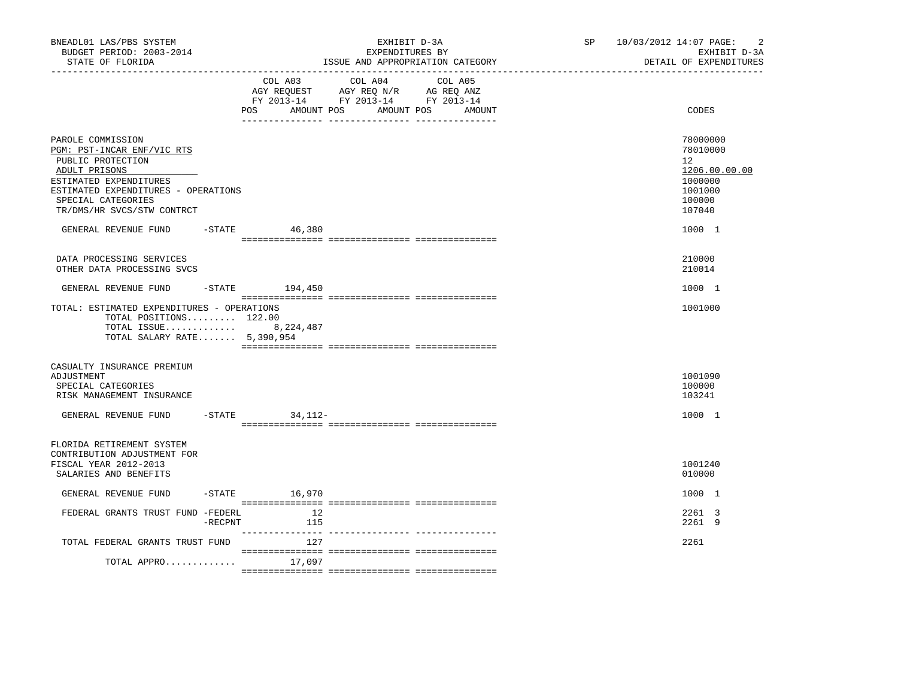| BNEADL01 LAS/PBS SYSTEM<br>BUDGET PERIOD: 2003-2014<br>STATE OF FLORIDA                                                                                                                                    |            |                              | EXHIBIT D-3A<br>EXPENDITURES BY<br>ISSUE AND APPROPRIATION CATEGORY                                        | SP <sub>2</sub> | $\overline{c}$<br>10/03/2012 14:07 PAGE:<br>EXHIBIT D-3A<br>DETAIL OF EXPENDITURES                 |
|------------------------------------------------------------------------------------------------------------------------------------------------------------------------------------------------------------|------------|------------------------------|------------------------------------------------------------------------------------------------------------|-----------------|----------------------------------------------------------------------------------------------------|
|                                                                                                                                                                                                            |            | COL A03<br>AMOUNT POS<br>POS | COL A04<br>COL A05<br>AGY REQUEST AGY REQ N/R AG REQ ANZ<br>FY 2013-14 FY 2013-14 FY 2013-14<br>AMOUNT POS | AMOUNT          | CODES                                                                                              |
| PAROLE COMMISSION<br>PGM: PST-INCAR ENF/VIC RTS<br>PUBLIC PROTECTION<br>ADULT PRISONS<br>ESTIMATED EXPENDITURES<br>ESTIMATED EXPENDITURES - OPERATIONS<br>SPECIAL CATEGORIES<br>TR/DMS/HR SVCS/STW CONTRCT |            |                              |                                                                                                            |                 | 78000000<br>78010000<br>12 <sup>°</sup><br>1206.00.00.00<br>1000000<br>1001000<br>100000<br>107040 |
| GENERAL REVENUE FUND                                                                                                                                                                                       |            | $-$ STATE 46,380             |                                                                                                            |                 | 1000 1                                                                                             |
| DATA PROCESSING SERVICES<br>OTHER DATA PROCESSING SVCS                                                                                                                                                     |            |                              |                                                                                                            |                 | 210000<br>210014                                                                                   |
| GENERAL REVENUE FUND                                                                                                                                                                                       |            | $-$ STATE 194,450            |                                                                                                            |                 | 1000 1                                                                                             |
| TOTAL: ESTIMATED EXPENDITURES - OPERATIONS<br>TOTAL POSITIONS $122.00$<br>TOTAL ISSUE 8, 224, 487<br>TOTAL SALARY RATE 5,390,954                                                                           |            |                              |                                                                                                            |                 | 1001000                                                                                            |
| CASUALTY INSURANCE PREMIUM<br>ADJUSTMENT<br>SPECIAL CATEGORIES<br>RISK MANAGEMENT INSURANCE                                                                                                                |            |                              |                                                                                                            |                 | 1001090<br>100000<br>103241                                                                        |
| GENERAL REVENUE FUND                                                                                                                                                                                       |            | $-STATE$ 34, 112-            |                                                                                                            |                 | 1000 1                                                                                             |
| FLORIDA RETIREMENT SYSTEM<br>CONTRIBUTION ADJUSTMENT FOR<br>FISCAL YEAR 2012-2013<br>SALARIES AND BENEFITS                                                                                                 |            |                              |                                                                                                            |                 | 1001240<br>010000                                                                                  |
| GENERAL REVENUE FUND                                                                                                                                                                                       |            | $-$ STATE $16,970$           |                                                                                                            |                 | 1000 1                                                                                             |
| FEDERAL GRANTS TRUST FUND -FEDERL                                                                                                                                                                          | $-$ RECPNT | 12<br>115                    |                                                                                                            |                 | 2261 3<br>2261 9                                                                                   |
| TOTAL FEDERAL GRANTS TRUST FUND                                                                                                                                                                            |            | 127                          |                                                                                                            |                 | 2261                                                                                               |
| TOTAL APPRO                                                                                                                                                                                                |            | 17,097                       |                                                                                                            |                 |                                                                                                    |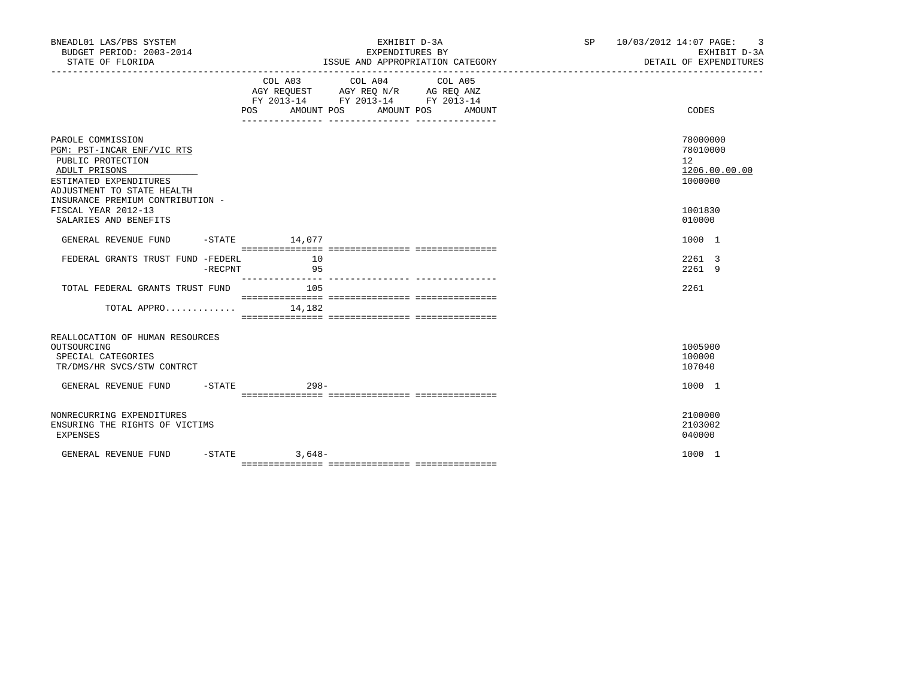| BNEADL01 LAS/PBS SYSTEM<br>BUDGET PERIOD: 2003-2014<br>STATE OF FLORIDA                                         |            | EXHIBIT D-3A<br>EXPENDITURES BY<br>ISSUE AND APPROPRIATION CATEGORY |                    |  |                                                                                                                                |  |        |  | SP 10/03/2012 14:07 PAGE: 3<br>EXHIBIT D-3A<br>DETAIL OF EXPENDITURES |  |
|-----------------------------------------------------------------------------------------------------------------|------------|---------------------------------------------------------------------|--------------------|--|--------------------------------------------------------------------------------------------------------------------------------|--|--------|--|-----------------------------------------------------------------------|--|
|                                                                                                                 |            |                                                                     |                    |  | COL A03 COL A04 COL A05<br>AGY REQUEST AGY REQ N/R AG REQ ANZ<br>FY 2013-14 FY 2013-14 FY 2013-14<br>POS AMOUNT POS AMOUNT POS |  | AMOUNT |  | CODES                                                                 |  |
| PAROLE COMMISSION<br>PGM: PST-INCAR ENF/VIC RTS<br>PUBLIC PROTECTION<br>ADULT PRISONS<br>ESTIMATED EXPENDITURES |            |                                                                     |                    |  |                                                                                                                                |  |        |  | 78000000<br>78010000<br>12 <sup>°</sup><br>1206.00.00.00<br>1000000   |  |
| ADJUSTMENT TO STATE HEALTH<br>INSURANCE PREMIUM CONTRIBUTION -<br>FISCAL YEAR 2012-13<br>SALARIES AND BENEFITS  |            |                                                                     |                    |  |                                                                                                                                |  |        |  | 1001830<br>010000                                                     |  |
| GENERAL REVENUE FUND                                                                                            |            |                                                                     | $-$ STATE $14,077$ |  |                                                                                                                                |  |        |  | 1000 1                                                                |  |
| FEDERAL GRANTS TRUST FUND -FEDERL                                                                               | $-$ RECPNT |                                                                     | 10<br>95           |  |                                                                                                                                |  |        |  | 2261 3<br>2261 9                                                      |  |
| TOTAL FEDERAL GRANTS TRUST FUND                                                                                 |            |                                                                     | 105                |  |                                                                                                                                |  |        |  | 2261                                                                  |  |
| TOTAL APPRO                                                                                                     |            |                                                                     | 14,182             |  |                                                                                                                                |  |        |  |                                                                       |  |
| REALLOCATION OF HUMAN RESOURCES<br>OUTSOURCING<br>SPECIAL CATEGORIES<br>TR/DMS/HR SVCS/STW CONTRCT              |            |                                                                     |                    |  |                                                                                                                                |  |        |  | 1005900<br>100000<br>107040                                           |  |
| GENERAL REVENUE FUND -STATE                                                                                     |            |                                                                     | $298 -$            |  |                                                                                                                                |  |        |  | 1000 1                                                                |  |
| NONRECURRING EXPENDITURES<br>ENSURING THE RIGHTS OF VICTIMS<br><b>EXPENSES</b>                                  |            |                                                                     |                    |  |                                                                                                                                |  |        |  | 2100000<br>2103002<br>040000                                          |  |
| GENERAL REVENUE FUND                                                                                            | -STATE     |                                                                     | $3,648-$           |  |                                                                                                                                |  |        |  | 1000 1                                                                |  |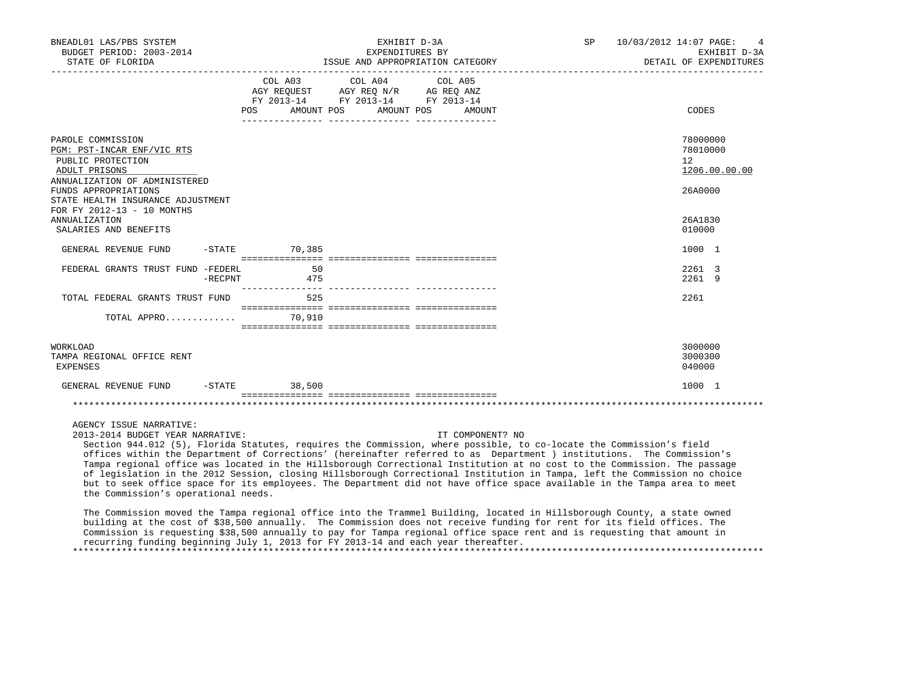| BNEADL01 LAS/PBS SYSTEM<br>BUDGET PERIOD: 2003-2014<br>STATE OF FLORIDA                                                                        |                 | EXHIBIT D-3A<br>EXPENDITURES BY<br>ISSUE AND APPROPRIATION CATEGORY                                                                     | SP 10/03/2012 14:07 PAGE: | $\overline{4}$<br>EXHIBIT D-3A<br>DETAIL OF EXPENDITURES            |
|------------------------------------------------------------------------------------------------------------------------------------------------|-----------------|-----------------------------------------------------------------------------------------------------------------------------------------|---------------------------|---------------------------------------------------------------------|
|                                                                                                                                                | POS             | COL A03 COL A04 COL A05<br>AGY REQUEST AGY REQ N/R AG REQ ANZ<br>FY 2013-14 FY 2013-14 FY 2013-14<br>AMOUNT POS<br>AMOUNT POS<br>AMOUNT |                           | CODES                                                               |
| PAROLE COMMISSION<br>PGM: PST-INCAR ENF/VIC RTS<br>PUBLIC PROTECTION<br>ADULT PRISONS<br>ANNUALIZATION OF ADMINISTERED<br>FUNDS APPROPRIATIONS |                 |                                                                                                                                         |                           | 78000000<br>78010000<br>12 <sup>°</sup><br>1206.00.00.00<br>26A0000 |
| STATE HEALTH INSURANCE ADJUSTMENT<br>FOR FY 2012-13 - 10 MONTHS<br><b>ANNUALIZATION</b><br>SALARIES AND BENEFITS                               |                 |                                                                                                                                         |                           | 26A1830<br>010000                                                   |
| GENERAL REVENUE FUND                                                                                                                           | $-STATE$ 70,385 |                                                                                                                                         |                           | 1000 1                                                              |
| FEDERAL GRANTS TRUST FUND -FEDERL<br>-RECPNT                                                                                                   | 50<br>475       |                                                                                                                                         |                           | 2261 3<br>2261 9                                                    |
| TOTAL FEDERAL GRANTS TRUST FUND<br>TOTAL APPRO 70,910                                                                                          | 525             |                                                                                                                                         |                           | 2261                                                                |
|                                                                                                                                                |                 |                                                                                                                                         |                           |                                                                     |
| <b>WORKLOAD</b><br>TAMPA REGIONAL OFFICE RENT<br><b>EXPENSES</b>                                                                               |                 |                                                                                                                                         |                           | 3000000<br>3000300<br>040000                                        |
| GENERAL REVENUE FUND -STATE 38,500                                                                                                             |                 |                                                                                                                                         |                           | 1000 1                                                              |
|                                                                                                                                                |                 |                                                                                                                                         |                           |                                                                     |
| AGENCY ISSUE NARRATIVE:                                                                                                                        |                 |                                                                                                                                         |                           |                                                                     |

The Commission moved the Tampa regional office into the Trammel Building, located in Hillsborough County, a state owned

 Section 944.012 (5), Florida Statutes, requires the Commission, where possible, to co-locate the Commission's field offices within the Department of Corrections' (hereinafter referred to as Department ) institutions. The Commission's Tampa regional office was located in the Hillsborough Correctional Institution at no cost to the Commission. The passage of legislation in the 2012 Session, closing Hillsborough Correctional Institution in Tampa, left the Commission no choice but to seek office space for its employees. The Department did not have office space available in the Tampa area to meet

2013-2014 BUDGET YEAR NARRATIVE: IT COMPONENT? NO

the Commission's operational needs.

 building at the cost of \$38,500 annually. The Commission does not receive funding for rent for its field offices. The Commission is requesting \$38,500 annually to pay for Tampa regional office space rent and is requesting that amount in recurring funding beginning July 1, 2013 for FY 2013-14 and each year thereafter. \*\*\*\*\*\*\*\*\*\*\*\*\*\*\*\*\*\*\*\*\*\*\*\*\*\*\*\*\*\*\*\*\*\*\*\*\*\*\*\*\*\*\*\*\*\*\*\*\*\*\*\*\*\*\*\*\*\*\*\*\*\*\*\*\*\*\*\*\*\*\*\*\*\*\*\*\*\*\*\*\*\*\*\*\*\*\*\*\*\*\*\*\*\*\*\*\*\*\*\*\*\*\*\*\*\*\*\*\*\*\*\*\*\*\*\*\*\*\*\*\*\*\*\*\*\*\*